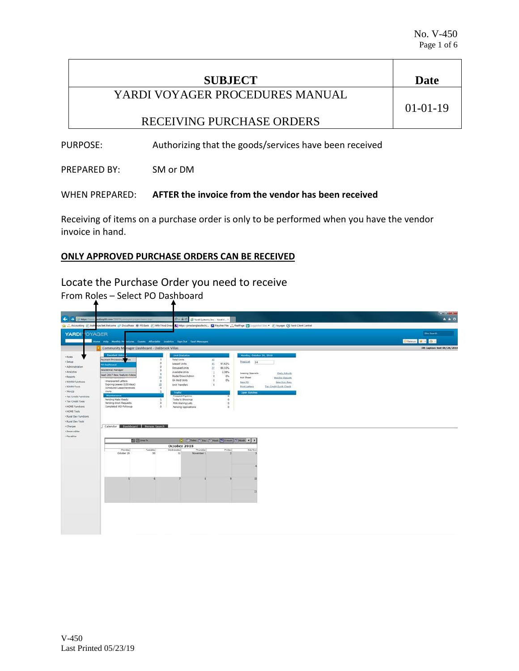| Date           |
|----------------|
|                |
| $01 - 01 - 19$ |
|                |
|                |

PURPOSE: Authorizing that the goods/services have been received

PREPARED BY: SM or DM

## WHEN PREPARED: **AFTER the invoice from the vendor has been received**

Receiving of items on a purchase order is only to be performed when you have the vendor invoice in hand.

## **ONLY APPROVED PURCHASE ORDERS CAN BE RECEIVED**

Locate the Purchase Order you need to receive From Roles – Select PO Dashboard

| $\leftarrow$                                                                                                                                                                                                                                                                        |                                                                                                                                                                                                                                                                                                                                                              |                                                        |                                                                                                                                                                                                                                                                   |                                                                                                                                              |                                                                                                                                    |                                                                                     |  |                    | $-0.01 - 10$                       |
|-------------------------------------------------------------------------------------------------------------------------------------------------------------------------------------------------------------------------------------------------------------------------------------|--------------------------------------------------------------------------------------------------------------------------------------------------------------------------------------------------------------------------------------------------------------------------------------------------------------------------------------------------------------|--------------------------------------------------------|-------------------------------------------------------------------------------------------------------------------------------------------------------------------------------------------------------------------------------------------------------------------|----------------------------------------------------------------------------------------------------------------------------------------------|------------------------------------------------------------------------------------------------------------------------------------|-------------------------------------------------------------------------------------|--|--------------------|------------------------------------|
| ⊶<br>(i) https://<br><b>Va </b> Accounting <b>L</b> Auth                                                                                                                                                                                                                            | date14.com/2017filmmonthuage/menulesi<br>size.Net Welcome c/P DocuPhase 19 FFI Bank (2) Fifth Third Direct (2) https://joneslanglasale.Fic., (2) Payches Flex .**, RealPage [3] Supported Star - (2) Voyager (3) Yardi Client Central                                                                                                                        |                                                        | $D = \frac{\partial f}{\partial t}$ O   Vardi Systems, Inc. - Yardi V X                                                                                                                                                                                           |                                                                                                                                              |                                                                                                                                    |                                                                                     |  |                    | $A \star \alpha$                   |
| <b>YARDIVOYAGER</b>                                                                                                                                                                                                                                                                 |                                                                                                                                                                                                                                                                                                                                                              |                                                        |                                                                                                                                                                                                                                                                   |                                                                                                                                              |                                                                                                                                    |                                                                                     |  | <b>Sibe Search</b> |                                    |
|                                                                                                                                                                                                                                                                                     | Home Help Monthly Presidures Guesta Affordable Analytics Sign Out SauS Messages                                                                                                                                                                                                                                                                              |                                                        |                                                                                                                                                                                                                                                                   |                                                                                                                                              |                                                                                                                                    |                                                                                     |  | Chances * 0        |                                    |
|                                                                                                                                                                                                                                                                                     | Community Manager Dashboard - Oakbrook Villas                                                                                                                                                                                                                                                                                                                |                                                        |                                                                                                                                                                                                                                                                   |                                                                                                                                              |                                                                                                                                    |                                                                                     |  |                    | <b>DB Caption: test 08/24/2018</b> |
| * Roles<br>» Setup<br>+ Administration<br>* Analytics<br>+ Reports<br>+ 50059 Functions<br>+ 50059 Tools<br>+ TRACS<br>. Tax Credit Functions<br>+ Tax Credit Tools<br>+ HOME Functions<br>> HOME Tools<br>. Rural Dev Functions<br>. Rural Dev Tools<br>+ Charges<br>· Receivables | <b>Resident Activ</b><br>Payment Processing<br><b>PO Dashboard</b><br>Residential Manager<br>SaaS 2017 New Feature Videos<br>Unanswered Letters<br>Expiring Leases (120 days)<br><b>Scheduled Lease Renewals</b><br>Alerts<br>Maintenance<br>Pending Make Ready<br><b>Pending Work Requests</b><br>Completed WO Followup<br>Calendar Dashboard Person Search | ٠ö<br>2.0<br>$\theta$<br>10<br>n<br>$\sim$<br>$\alpha$ | <b>Unit Statistics</b><br><b>Total Units</b><br>Leased Units<br>Occupied Units<br>Available Units<br>Model/Down/Admin.<br>On Hold Units<br>Unit Transfers<br><b>Traffic</b><br>Prospect Pipeline<br>Today's Showings<br>PHA Waiting Lists<br>Pending Applications | 52<br>97.62%<br>41<br>32<br>88.10%<br>$\Delta$<br>2.38%<br>$\sigma$<br>0%<br>$\alpha$<br>O%<br>$\alpha$<br>$^{\circ}$<br>$\circ$<br>$\alpha$ | Monday, October 29, 2018<br>Prosablet 14<br>Leasing Specials<br>Hot Sheet<br>New PO<br><b>Print Letters</b><br><b>Open Batches</b> | Daily Activity<br><b>Honitor Reports</b><br>New Syc. Res.<br>Tax Credit Quick Check |  |                    |                                    |
| + Payables                                                                                                                                                                                                                                                                          | 图 El lane to                                                                                                                                                                                                                                                                                                                                                 |                                                        |                                                                                                                                                                                                                                                                   | <b>15 El Today (1) Day (1) Week (1) 2 Week (1) Month 4 P</b>                                                                                 |                                                                                                                                    |                                                                                     |  |                    |                                    |
|                                                                                                                                                                                                                                                                                     |                                                                                                                                                                                                                                                                                                                                                              |                                                        | October 2018                                                                                                                                                                                                                                                      |                                                                                                                                              |                                                                                                                                    |                                                                                     |  |                    |                                    |
|                                                                                                                                                                                                                                                                                     | <b>Honday</b><br>October 29                                                                                                                                                                                                                                                                                                                                  | <b>Tuesday</b><br>30                                   | Wednesday<br>Thursday<br>31<br>November 1                                                                                                                                                                                                                         | Friday                                                                                                                                       | Sat/Sun                                                                                                                            |                                                                                     |  |                    |                                    |
|                                                                                                                                                                                                                                                                                     |                                                                                                                                                                                                                                                                                                                                                              |                                                        |                                                                                                                                                                                                                                                                   |                                                                                                                                              | 11                                                                                                                                 |                                                                                     |  |                    |                                    |
|                                                                                                                                                                                                                                                                                     |                                                                                                                                                                                                                                                                                                                                                              |                                                        |                                                                                                                                                                                                                                                                   |                                                                                                                                              |                                                                                                                                    |                                                                                     |  |                    |                                    |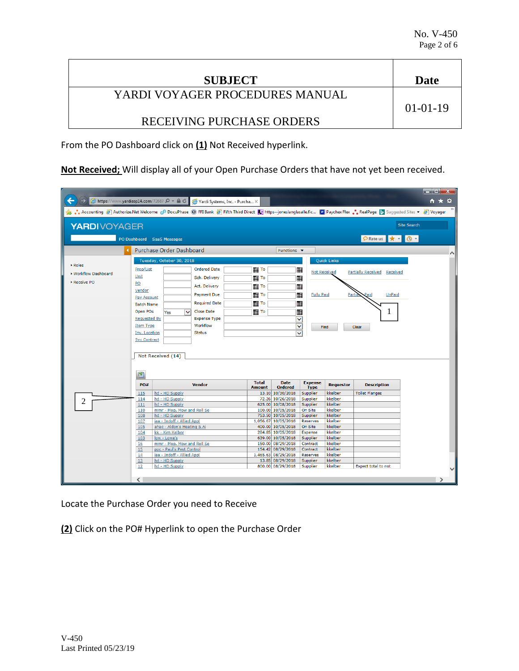| <b>SUBJECT</b>                  | Date           |
|---------------------------------|----------------|
| YARDI VOYAGER PROCEDURES MANUAL |                |
|                                 | $01 - 01 - 19$ |
| RECEIVING PURCHASE ORDERS       |                |

From the PO Dashboard click on **(1)** Not Received hyperlink.

**Not Received;** Will display all of your Open Purchase Orders that have not yet been received.

| ←<br><mark>● https://www.yardiasp14.com</mark> /72687 Q → A <b>d</b> e Yardi Systems, Inc. - Purcha × |                                             |                                                         |                      |                               |                                        |                               |                    |                                                                                                                                                                              | داكات<br>x<br>¤<br>$\hat{\mathbf{n}}$ $\hat{\mathbf{x}}$ |
|-------------------------------------------------------------------------------------------------------|---------------------------------------------|---------------------------------------------------------|----------------------|-------------------------------|----------------------------------------|-------------------------------|--------------------|------------------------------------------------------------------------------------------------------------------------------------------------------------------------------|----------------------------------------------------------|
|                                                                                                       |                                             |                                                         |                      |                               |                                        |                               |                    | Suggested Sites ▼ 3 Voyager (C) For DecuPhase (C) FFI Bank (S) Fifth Third Direct (S) https--joneslanglasalle.fic (D) Paychex Flex • RealPage [b Suggested Sites ▼ 3 Voyager |                                                          |
| <b>YARDIVOYAGER</b>                                                                                   |                                             |                                                         |                      |                               |                                        |                               |                    | <b>Site Search</b>                                                                                                                                                           |                                                          |
|                                                                                                       |                                             | PO Dashboard SaaS Messages                              |                      |                               |                                        |                               |                    | PRate us * + 0 +                                                                                                                                                             |                                                          |
|                                                                                                       |                                             | <b>Purchase Order Dashboard</b>                         |                      |                               | Functions $\blacktriangledown$         |                               |                    |                                                                                                                                                                              | $\wedge$                                                 |
|                                                                                                       |                                             | Tuesday, October 30, 2018                               |                      |                               |                                        |                               | <b>Quick Links</b> |                                                                                                                                                                              |                                                          |
| Roles                                                                                                 | Prop/List                                   |                                                         | <b>Ordered Date</b>  | To                            |                                        | ▦<br><b>Not Received</b>      |                    | <b>Partially Received Received</b>                                                                                                                                           |                                                          |
| ▶ Workflow Dashboard                                                                                  | Unit                                        |                                                         | Sch. Delivery        | <b>   To</b>                  |                                        | 酾                             |                    |                                                                                                                                                                              |                                                          |
| Receive PO                                                                                            | PO                                          |                                                         | Act. Delivery        | <b>THE TO</b>                 |                                        | ▦                             |                    |                                                                                                                                                                              |                                                          |
|                                                                                                       | Vendor                                      |                                                         | <b>Payment Due</b>   | l        To                   |                                        | 酾<br><b>Fully Paid</b>        | Partia             | <b>UnPaid</b>                                                                                                                                                                |                                                          |
|                                                                                                       | Pay Account                                 |                                                         | <b>Required Date</b> |                               |                                        |                               |                    |                                                                                                                                                                              |                                                          |
|                                                                                                       | <b>Batch Name</b>                           |                                                         |                      | To                            |                                        | ⊞                             |                    |                                                                                                                                                                              |                                                          |
|                                                                                                       | Open POs                                    | Yes<br>$\checkmark$                                     | <b>Close Date</b>    | To                            |                                        | ▦                             |                    | 1                                                                                                                                                                            |                                                          |
|                                                                                                       | <b>Requested By</b>                         |                                                         | <b>Expense Type</b>  |                               |                                        | ×                             |                    |                                                                                                                                                                              |                                                          |
|                                                                                                       | <b>Item Type</b>                            |                                                         | Workflow             |                               |                                        | $\checkmark$                  | Find               | Clear                                                                                                                                                                        |                                                          |
|                                                                                                       | <b>Inv. Location</b><br><b>Svc Contract</b> |                                                         | <b>Status</b>        |                               |                                        | $\checkmark$                  |                    |                                                                                                                                                                              |                                                          |
|                                                                                                       | 團                                           | Not Received (14)                                       |                      |                               |                                        |                               |                    |                                                                                                                                                                              |                                                          |
|                                                                                                       | PO#                                         |                                                         | <b>Vendor</b>        | <b>Total</b><br><b>Amount</b> | <b>Date</b><br><b>Ordered</b>          | <b>Expense</b><br><b>Type</b> | <b>Requestor</b>   | <b>Description</b>                                                                                                                                                           |                                                          |
|                                                                                                       | 115                                         | hd - HD Supply                                          |                      |                               | 13.10 10/30/2018                       | Supplier                      | kkelber            | <b>Toilet Flanges</b>                                                                                                                                                        |                                                          |
| 2                                                                                                     | 114                                         | hd - HD Supply                                          |                      |                               | 72.26 10/26/2018                       | Supplier                      | kkelber            |                                                                                                                                                                              |                                                          |
|                                                                                                       | 111                                         | hd - HD Supply<br>mmr - Mop, Mow and Roll Se            |                      |                               | 625.00 10/08/2018<br>100.00 10/05/2018 | Supplier                      | kkelber<br>kkelber |                                                                                                                                                                              |                                                          |
|                                                                                                       | 110<br>108                                  | hd - HD Supply                                          |                      |                               | 753.50 10/05/2018                      | On Site<br>Supplier           | kkelber            |                                                                                                                                                                              |                                                          |
|                                                                                                       | 107                                         | iaa - Indoff - Allied Appl                              |                      |                               | 1,056.67 10/05/2018                    | <b>Reserves</b>               | kkelber            |                                                                                                                                                                              |                                                          |
|                                                                                                       | 105                                         | ahac - Aldon's Heating & Ai                             |                      |                               | 400.00 10/05/2018                      | On Site                       | kkelber            |                                                                                                                                                                              |                                                          |
|                                                                                                       | 104                                         | kk - Kim Kelber                                         |                      |                               | 284.85 10/05/2018                      | Expense                       | kkelber            |                                                                                                                                                                              |                                                          |
|                                                                                                       | 103                                         | low - Lowe's                                            |                      |                               | 639.00 10/05/2018                      | Supplier                      | kkelber            |                                                                                                                                                                              |                                                          |
|                                                                                                       | 16<br>15                                    | mmr - Mop, Mow and Roll Se<br>ppc - Paul's Pest Control |                      |                               | 150.00 08/29/2018<br>154.42 08/29/2018 | Contract<br>Contract          | kkelber<br>kkelber |                                                                                                                                                                              |                                                          |
|                                                                                                       | 14                                          | iaa - Indoff - Allied Appl                              |                      |                               | 1,465.63 08/29/2018                    | Reserves                      | kkelber            |                                                                                                                                                                              |                                                          |
|                                                                                                       | 13                                          | hd - HD Supply                                          |                      |                               | 13.85 08/29/2018                       | Supplier                      | kkelber            |                                                                                                                                                                              |                                                          |
|                                                                                                       | 12                                          | hd - HD Supply                                          |                      |                               | 800.00 08/29/2018                      | Supplier                      | kkelber            | Expect total to not                                                                                                                                                          |                                                          |
|                                                                                                       |                                             |                                                         |                      |                               |                                        |                               |                    |                                                                                                                                                                              |                                                          |
|                                                                                                       | ≺                                           |                                                         |                      |                               |                                        |                               |                    |                                                                                                                                                                              |                                                          |

Locate the Purchase Order you need to Receive

**(2)** Click on the PO# Hyperlink to open the Purchase Order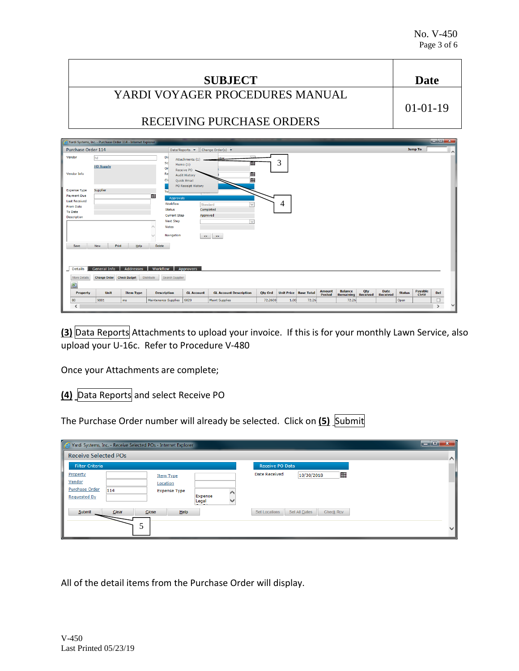| <b>SUBJECT</b>                                                                                                                                                        | <b>Date</b>              |
|-----------------------------------------------------------------------------------------------------------------------------------------------------------------------|--------------------------|
| YARDI VOYAGER PROCEDURES MANUAL                                                                                                                                       |                          |
| RECEIVING PURCHASE ORDERS                                                                                                                                             | $01-01-19$               |
|                                                                                                                                                                       |                          |
| Yardi Systems, Inc. - Purchase Order 114 - Internet Explorer                                                                                                          | $\  \cdot \ $ of $\ $    |
| Purchase Order 114<br>Change Order(s) $\blacktriangledown$<br>Data/Reports v                                                                                          | <b>Jump To</b><br>$\sim$ |
| Vendor<br><b>Dis</b><br>hd<br>Attachments (1)                                                                                                                         |                          |
| 3<br>Sc<br>▦<br>Memo $(1)$<br><b>HD Supply</b><br>Or<br>Receive PO<br>Vendor Info<br>Re<br>⊞<br><b>Audit History</b><br>m<br>Cld<br>Quick Email<br>PO Receipt History |                          |
| Supplier<br><b>Expense Type</b><br>To:                                                                                                                                |                          |
| <br><b>Payment Due</b><br><b>Approvals</b><br><b>Last Received</b>                                                                                                    |                          |
| 4<br>Workflow<br>$\checkmark$<br>Standard<br><b>From Date</b><br>Completed<br><b>Status</b>                                                                           |                          |
| <b>To Date</b><br><b>Current Step</b><br>Approved<br><b>Description</b>                                                                                               |                          |
| <b>Next Step</b><br>$\overline{\mathsf{v}}$                                                                                                                           |                          |
| <b>Notes</b>                                                                                                                                                          |                          |
| Navigation<br>$\ll$<br>$\gg$                                                                                                                                          |                          |
| <b>New</b><br><b>Print</b><br>Help<br><b>Delete</b><br>Save                                                                                                           |                          |
|                                                                                                                                                                       |                          |
|                                                                                                                                                                       |                          |
| Addresses<br>Details<br><b>General Info</b><br>Workflow<br>Approvers                                                                                                  |                          |

**(3)** Data Reports Attachments to upload your invoice. If this is for your monthly Lawn Service, also upload your U-16c. Refer to Procedure V-480

GL Account Description Qty Ord Unit Price Base Total Amount

72.2600 1.00 72.26

Balance Qty Date<br>Remaining Received Received

 $72.26$ 

Status

Open

Once your Attachments are complete;

More Details Change Order Check Budget Distribute Search Sup

圏

Pro

 $\overline{\left(}$ 

**(4)** Data Reports and select Receive PO

The Purchase Order number will already be selected. Click on **(5)** Submit

**GL Account** 

Maint Supplies

Maintenance Supplies 6020

| Yardi Systems, Inc. - Receive Selected POs - Internet Explorer                                                                                       | <u>to Elsxa</u>                                                                       |
|------------------------------------------------------------------------------------------------------------------------------------------------------|---------------------------------------------------------------------------------------|
| <b>Receive Selected POs</b>                                                                                                                          | $\sim$                                                                                |
| <b>Filter Criteria</b>                                                                                                                               | Receive PO Data                                                                       |
| Property<br><b>Item Type</b><br>Vendor<br>Location<br><b>Purchase Order</b><br>114<br><b>Expense Type</b><br>Expense<br><b>Requested By</b><br>Legal | <b>Date Received</b><br>10/30/2018                                                    |
| Close<br>Clear<br>He<br>Submit                                                                                                                       | <b>Set Locations</b><br>Set All Dates<br><b>Check Rcv</b><br>$\overline{\phantom{a}}$ |

All of the detail items from the Purchase Order will display.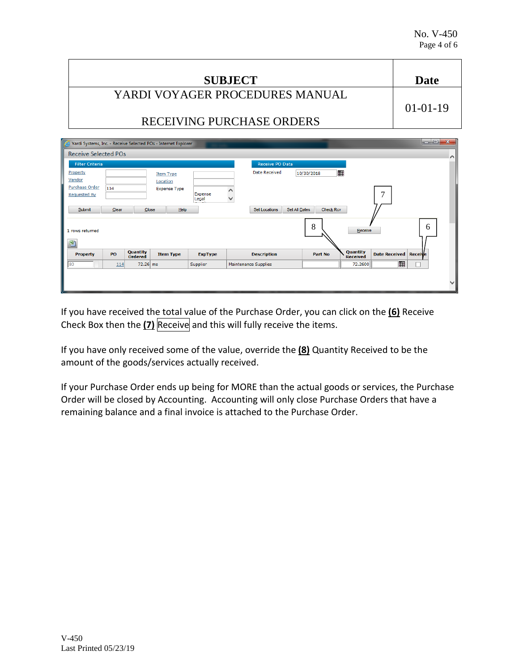| <b>SUBJECT</b>                  | Date                                      |
|---------------------------------|-------------------------------------------|
| YARDI VOYAGER PROCEDURES MANUAL |                                           |
|                                 | $01-01-19$                                |
| RECEIVING PURCHASE ORDERS       |                                           |
|                                 | the company's department of the company's |

| Yardi Systems, Inc. - Receive Selected POs - Internet Explorer |                              |                  |                                       |                                                                 | $\Box$ $\Box$ $\Box$ |
|----------------------------------------------------------------|------------------------------|------------------|---------------------------------------|-----------------------------------------------------------------|----------------------|
| <b>Receive Selected POs</b>                                    |                              |                  |                                       |                                                                 | $\wedge$             |
| <b>Filter Criteria</b>                                         |                              |                  | <b>Receive PO Data</b>                |                                                                 |                      |
| Property<br>Vendor                                             | <b>Item Type</b><br>Location |                  | <b>Date Received</b>                  | ■<br>10/30/2018                                                 |                      |
| <b>Purchase Order</b><br>114<br><b>Requested By</b>            | <b>Expense Type</b>          | Expense<br>Legal | $\checkmark$                          | 7                                                               |                      |
| Submit<br>Clear                                                | He<br>Close                  |                  | Set All Dates<br><b>Set Locations</b> | <b>Check Rcv</b>                                                |                      |
| 1 rows returned                                                |                              |                  |                                       | 8<br>Receive                                                    | 6                    |
| 團                                                              |                              |                  |                                       |                                                                 |                      |
| Quantity<br>PO<br><b>Property</b><br><b>Ordered</b>            | <b>Item Type</b>             | <b>ExpType</b>   | <b>Description</b>                    | Quantity<br>Date Received Receive<br>Part No<br><b>Received</b> |                      |
| 80<br>114                                                      | 72.26 ms                     | Supplier         | Maintenance Supplies                  | <br>72.2600                                                     |                      |
|                                                                |                              |                  |                                       |                                                                 |                      |
|                                                                |                              |                  |                                       |                                                                 |                      |
|                                                                |                              |                  |                                       |                                                                 |                      |

If you have received the total value of the Purchase Order, you can click on the **(6)** Receive Check Box then the **(7)** Receive and this will fully receive the items.

If you have only received some of the value, override the **(8)** Quantity Received to be the amount of the goods/services actually received.

If your Purchase Order ends up being for MORE than the actual goods or services, the Purchase Order will be closed by Accounting. Accounting will only close Purchase Orders that have a remaining balance and a final invoice is attached to the Purchase Order.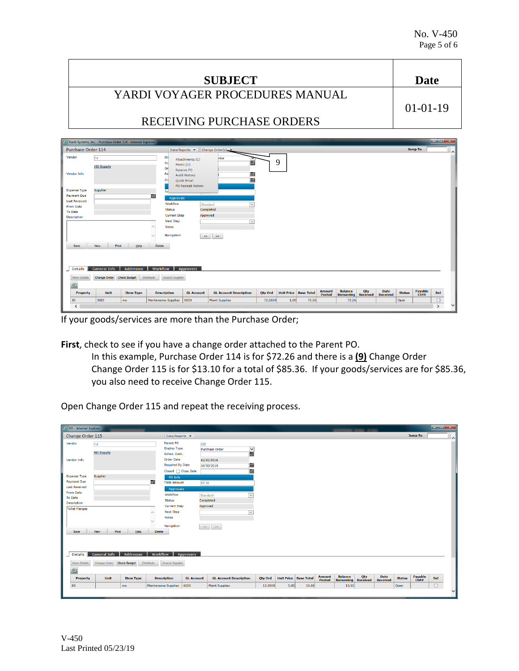|                                            | <b>SUBJECT</b>                                               |                     |                                             |                                     |                                     |                |      |                                |               |                  |                 |                 |               | <b>Date</b> |                                                                                                                                                                                                                                                                                                                                                                                                                                                       |                    |
|--------------------------------------------|--------------------------------------------------------------|---------------------|---------------------------------------------|-------------------------------------|-------------------------------------|----------------|------|--------------------------------|---------------|------------------|-----------------|-----------------|---------------|-------------|-------------------------------------------------------------------------------------------------------------------------------------------------------------------------------------------------------------------------------------------------------------------------------------------------------------------------------------------------------------------------------------------------------------------------------------------------------|--------------------|
|                                            |                                                              |                     |                                             |                                     | YARDI VOYAGER PROCEDURES MANUAL     |                |      |                                |               |                  |                 |                 |               |             |                                                                                                                                                                                                                                                                                                                                                                                                                                                       |                    |
|                                            |                                                              |                     |                                             |                                     |                                     |                |      |                                |               |                  |                 |                 |               |             |                                                                                                                                                                                                                                                                                                                                                                                                                                                       |                    |
|                                            |                                                              |                     |                                             |                                     |                                     |                |      |                                |               |                  |                 |                 |               | $01-01-19$  |                                                                                                                                                                                                                                                                                                                                                                                                                                                       |                    |
|                                            |                                                              |                     |                                             |                                     |                                     |                |      |                                |               |                  |                 |                 |               |             |                                                                                                                                                                                                                                                                                                                                                                                                                                                       |                    |
|                                            | RECEIVING PURCHASE ORDERS                                    |                     |                                             |                                     |                                     |                |      |                                |               |                  |                 |                 |               |             |                                                                                                                                                                                                                                                                                                                                                                                                                                                       |                    |
|                                            |                                                              |                     |                                             |                                     |                                     |                |      |                                |               |                  |                 |                 |               |             |                                                                                                                                                                                                                                                                                                                                                                                                                                                       |                    |
|                                            |                                                              |                     |                                             |                                     |                                     |                |      |                                |               |                  |                 |                 |               |             |                                                                                                                                                                                                                                                                                                                                                                                                                                                       |                    |
|                                            | Yardi Systems, Inc. - Purchase Order 114 - Internet Explorer |                     |                                             |                                     |                                     |                |      |                                |               |                  |                 |                 |               |             | $\begin{array}{c c c c c} \hline \multicolumn{1}{c }{\mathbf{1}} & \multicolumn{1}{c }{\mathbf{1}} & \multicolumn{1}{c }{\mathbf{2}} & \multicolumn{1}{c }{\mathbf{3}} & \multicolumn{1}{c }{\mathbf{4}} & \multicolumn{1}{c }{\mathbf{5}} & \multicolumn{1}{c }{\mathbf{6}} & \multicolumn{1}{c }{\mathbf{7}} & \multicolumn{1}{c }{\mathbf{8}} & \multicolumn{1}{c }{\mathbf{9}} & \multicolumn{1}{c }{\mathbf{1}} & \multicolumn{1}{c }{\mathbf{1$ |                    |
| Purchase Order 114                         |                                                              |                     |                                             | Data/Reports $\blacktriangledown$   | Change Order(s).                    |                |      |                                |               |                  |                 |                 |               | Jump To     |                                                                                                                                                                                                                                                                                                                                                                                                                                                       | $\curvearrowright$ |
| Vendor                                     | hd                                                           |                     | Di:                                         | Attachments (1)                     | rder                                |                |      |                                |               |                  |                 |                 |               |             |                                                                                                                                                                                                                                                                                                                                                                                                                                                       |                    |
|                                            | <b>HD Supply</b>                                             |                     | Sc                                          | Memo $(1)$                          | 匾                                   |                | 9    |                                |               |                  |                 |                 |               |             |                                                                                                                                                                                                                                                                                                                                                                                                                                                       |                    |
| <b>Vendor Info</b>                         |                                                              |                     | Or<br>Re                                    | Receive PO                          |                                     |                |      |                                |               |                  |                 |                 |               |             |                                                                                                                                                                                                                                                                                                                                                                                                                                                       |                    |
|                                            |                                                              |                     | Clo                                         | <b>Audit History</b><br>Quick Email |                                     |                |      |                                |               |                  |                 |                 |               |             |                                                                                                                                                                                                                                                                                                                                                                                                                                                       |                    |
|                                            |                                                              |                     |                                             | <b>PO Receipt History</b>           |                                     |                |      |                                |               |                  |                 |                 |               |             |                                                                                                                                                                                                                                                                                                                                                                                                                                                       |                    |
| <b>Expense Type</b>                        | Supplier                                                     |                     | To.                                         |                                     |                                     |                |      |                                |               |                  |                 |                 |               |             |                                                                                                                                                                                                                                                                                                                                                                                                                                                       |                    |
| <b>Payment Due</b><br><b>Last Received</b> |                                                              |                     | 冊<br><b>Approvals</b>                       |                                     |                                     |                |      |                                |               |                  |                 |                 |               |             |                                                                                                                                                                                                                                                                                                                                                                                                                                                       |                    |
| <b>From Date</b>                           |                                                              |                     | Workflow                                    |                                     | $\overline{\mathsf{v}}$<br>Standard |                |      |                                |               |                  |                 |                 |               |             |                                                                                                                                                                                                                                                                                                                                                                                                                                                       |                    |
| <b>To Date</b>                             |                                                              |                     | <b>Status</b><br><b>Current Step</b>        | Approved                            | Completed                           |                |      |                                |               |                  |                 |                 |               |             |                                                                                                                                                                                                                                                                                                                                                                                                                                                       |                    |
| Description                                |                                                              |                     | <b>Next Step</b>                            |                                     | $\checkmark$                        |                |      |                                |               |                  |                 |                 |               |             |                                                                                                                                                                                                                                                                                                                                                                                                                                                       |                    |
|                                            |                                                              |                     | <b>Notes</b>                                |                                     |                                     |                |      |                                |               |                  |                 |                 |               |             |                                                                                                                                                                                                                                                                                                                                                                                                                                                       |                    |
|                                            |                                                              |                     | Navigation                                  |                                     |                                     |                |      |                                |               |                  |                 |                 |               |             |                                                                                                                                                                                                                                                                                                                                                                                                                                                       |                    |
|                                            |                                                              |                     |                                             | $\ll$                               | $\gg$                               |                |      |                                |               |                  |                 |                 |               |             |                                                                                                                                                                                                                                                                                                                                                                                                                                                       |                    |
| Save                                       | Print<br>New                                                 | Help                | Delete                                      |                                     |                                     |                |      |                                |               |                  |                 |                 |               |             |                                                                                                                                                                                                                                                                                                                                                                                                                                                       |                    |
|                                            |                                                              |                     |                                             |                                     |                                     |                |      |                                |               |                  |                 |                 |               |             |                                                                                                                                                                                                                                                                                                                                                                                                                                                       |                    |
|                                            |                                                              |                     |                                             |                                     |                                     |                |      |                                |               |                  |                 |                 |               |             |                                                                                                                                                                                                                                                                                                                                                                                                                                                       |                    |
| <b>Details</b>                             | <b>General Info</b>                                          | <b>Addresses</b>    | Workflow                                    | <b>Approvers</b>                    |                                     |                |      |                                |               |                  |                 |                 |               |             |                                                                                                                                                                                                                                                                                                                                                                                                                                                       |                    |
| <b>More Details</b>                        | <b>Change Order</b>                                          | <b>Check Budget</b> | <b>Distribute</b><br><b>Search Supplier</b> |                                     |                                     |                |      |                                |               |                  |                 |                 |               |             |                                                                                                                                                                                                                                                                                                                                                                                                                                                       |                    |
| 图                                          |                                                              |                     |                                             |                                     |                                     |                |      |                                |               |                  |                 |                 |               |             |                                                                                                                                                                                                                                                                                                                                                                                                                                                       |                    |
|                                            |                                                              |                     |                                             |                                     |                                     |                |      |                                | <b>Amount</b> | <b>Balance</b>   | Oty             | <b>Date</b>     |               | Payable     |                                                                                                                                                                                                                                                                                                                                                                                                                                                       |                    |
| Property                                   | Unit                                                         | <b>Item Type</b>    | <b>Description</b>                          | <b>GL Account</b>                   | <b>GL Account Description</b>       | <b>Qty Ord</b> |      | <b>Unit Price   Base Total</b> | Posted        | <b>Remaining</b> | <b>Received</b> | <b>Received</b> | <b>Status</b> | Ctrl#       | Del                                                                                                                                                                                                                                                                                                                                                                                                                                                   |                    |
| 80                                         | 9081                                                         | ms                  | <b>Maintenance Supplies</b>                 | 6020                                | <b>Maint Supplies</b>               | 72.2600        | 1.00 | 72.26                          |               | 72.26            |                 |                 | Open          |             | п<br>$\rightarrow$                                                                                                                                                                                                                                                                                                                                                                                                                                    |                    |
| $\overline{\phantom{a}}$                   |                                                              |                     |                                             |                                     |                                     |                |      |                                |               |                  |                 |                 |               |             |                                                                                                                                                                                                                                                                                                                                                                                                                                                       |                    |

If your goods/services are more than the Purchase Order;

**First**, check to see if you have a change order attached to the Parent PO.

In this example, Purchase Order 114 is for \$72.26 and there is a **(9)** Change Order Change Order 115 is for \$13.10 for a total of \$85.36. If your goods/services are for \$85.36, you also need to receive Change Order 115.

Open Change Order 115 and repeat the receiving process.

| PO - Internet Explorer                              |                                            |                          |                                                               |                              |                                 |                |                              |       |                         |                             |                        |                                |               |                  | $  x$                  |
|-----------------------------------------------------|--------------------------------------------|--------------------------|---------------------------------------------------------------|------------------------------|---------------------------------|----------------|------------------------------|-------|-------------------------|-----------------------------|------------------------|--------------------------------|---------------|------------------|------------------------|
| Change Order 115                                    |                                            |                          | Data/Reports v                                                |                              |                                 |                |                              |       |                         |                             |                        |                                |               | <b>Jump To</b>   | ∣∧                     |
| Vendor                                              | hd<br><b>HD Supply</b>                     |                          | Parent PO<br><b>Display Type</b>                              | 114                          | $\frac{1}{2}$<br>Purchase Order |                |                              |       |                         |                             |                        |                                |               |                  |                        |
| Vendor Info                                         |                                            |                          | Sched. Deliv.<br><b>Order Date</b><br><b>Required By Date</b> |                              | 10/30/2018<br>■■<br>10/30/2018  |                |                              |       |                         |                             |                        |                                |               |                  |                        |
| <b>Expense Type</b><br>Payment Due                  | Supplier                                   |                          | PO Info<br><b>Total Amount</b>                                | Closed   Close Date<br>85.36 |                                 |                |                              |       |                         |                             |                        |                                |               |                  |                        |
| <b>Last Received</b><br>From Date<br><b>To Date</b> |                                            |                          | Approvals<br>Workflow                                         |                              | $\overline{\vee}$<br>Standard   |                |                              |       |                         |                             |                        |                                |               |                  |                        |
| <b>Description</b><br><b>Toilet Flanges</b>         |                                            |                          | <b>Status</b><br><b>Current Step</b><br><b>Next Step</b>      |                              | Completed<br>Approved<br>$\vee$ |                |                              |       |                         |                             |                        |                                |               |                  |                        |
|                                                     |                                            |                          | <b>Notes</b><br>Navigation                                    |                              | $\Rightarrow$<br>$<<$           |                |                              |       |                         |                             |                        |                                |               |                  |                        |
| Save<br><b>Details</b>                              | Print<br><b>New</b><br><b>General Info</b> | Help<br><b>Addresses</b> | <b>Delete</b><br>Workflow                                     | Approvers                    |                                 |                |                              |       |                         |                             |                        |                                |               |                  |                        |
| More Details<br>圏                                   | Change Order                               | <b>Check Budget</b>      | <b>Distribute</b><br>Search Supplier                          |                              |                                 |                |                              |       |                         |                             |                        |                                |               |                  |                        |
| <b>Property</b>                                     | <b>Unit</b>                                | <b>Item Type</b>         | <b>Description</b>                                            | <b>GL Account</b>            | <b>GL Account Description</b>   | <b>Qty Ord</b> | <b>Unit Price Base Total</b> |       | <b>Amount</b><br>Posted | <b>Balance</b><br>Remaining | Qty<br><b>Received</b> | <b>Date</b><br><b>Received</b> | <b>Status</b> | Payable<br>Ctrl# | Del                    |
| 80                                                  |                                            | ms                       | <b>Maintenance Supplies</b>                                   | 6020                         | <b>Maint Supplies</b>           | 13.1000        | 1.00                         | 13.10 |                         | 13.10                       |                        |                                | Open          |                  | $\Box$<br>$\checkmark$ |
|                                                     |                                            |                          |                                                               |                              |                                 |                |                              |       |                         |                             |                        |                                |               |                  |                        |